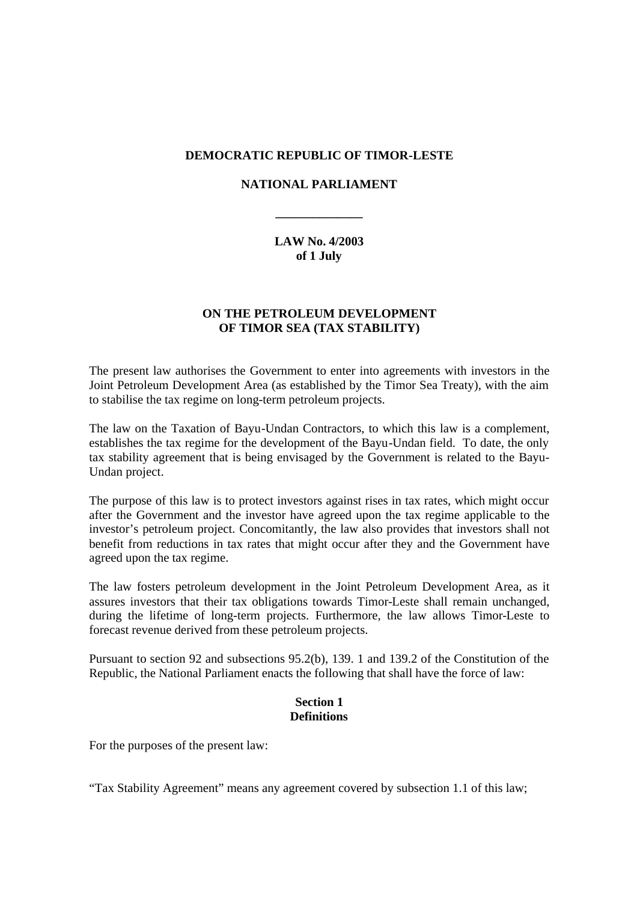## **DEMOCRATIC REPUBLIC OF TIMOR-LESTE**

## **NATIONAL PARLIAMENT**

**\_\_\_\_\_\_\_\_\_\_\_\_\_\_**

**LAW No. 4/2003 of 1 July**

# **ON THE PETROLEUM DEVELOPMENT OF TIMOR SEA (TAX STABILITY)**

The present law authorises the Government to enter into agreements with investors in the Joint Petroleum Development Area (as established by the Timor Sea Treaty), with the aim to stabilise the tax regime on long-term petroleum projects.

The law on the Taxation of Bayu-Undan Contractors, to which this law is a complement, establishes the tax regime for the development of the Bayu-Undan field. To date, the only tax stability agreement that is being envisaged by the Government is related to the Bayu-Undan project.

The purpose of this law is to protect investors against rises in tax rates, which might occur after the Government and the investor have agreed upon the tax regime applicable to the investor's petroleum project. Concomitantly, the law also provides that investors shall not benefit from reductions in tax rates that might occur after they and the Government have agreed upon the tax regime.

The law fosters petroleum development in the Joint Petroleum Development Area, as it assures investors that their tax obligations towards Timor-Leste shall remain unchanged, during the lifetime of long-term projects. Furthermore, the law allows Timor-Leste to forecast revenue derived from these petroleum projects.

Pursuant to section 92 and subsections 95.2(b), 139. 1 and 139.2 of the Constitution of the Republic, the National Parliament enacts the following that shall have the force of law:

#### **Section 1 Definitions**

For the purposes of the present law:

"Tax Stability Agreement" means any agreement covered by subsection 1.1 of this law;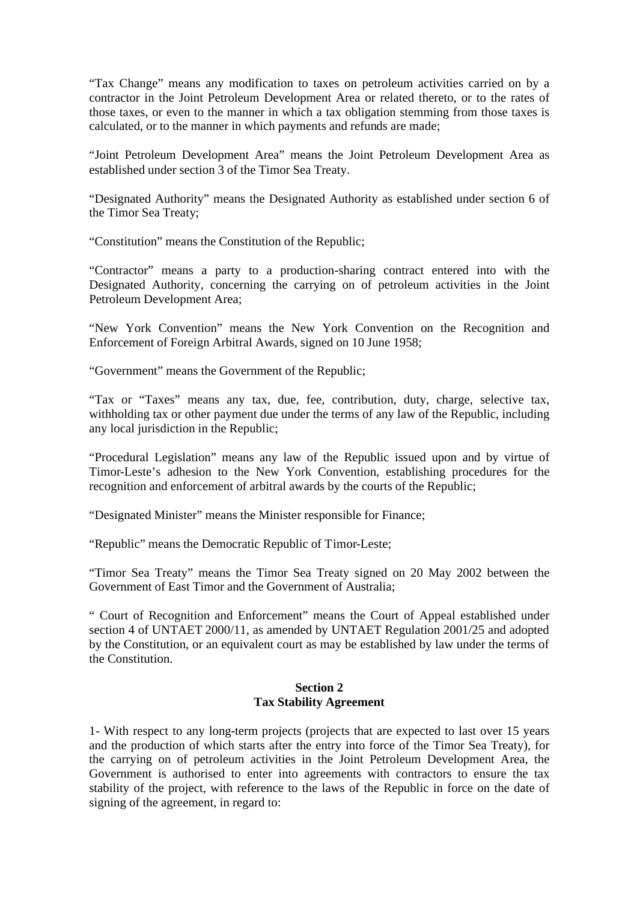"Tax Change" means any modification to taxes on petroleum activities carried on by a contractor in the Joint Petroleum Development Area or related thereto, or to the rates of those taxes, or even to the manner in which a tax obligation stemming from those taxes is calculated, or to the manner in which payments and refunds are made;

"Joint Petroleum Development Area" means the Joint Petroleum Development Area as established under section 3 of the Timor Sea Treaty.

"Designated Authority" means the Designated Authority as established under section 6 of the Timor Sea Treaty;

"Constitution" means the Constitution of the Republic;

"Contractor" means a party to a production-sharing contract entered into with the Designated Authority, concerning the carrying on of petroleum activities in the Joint Petroleum Development Area;

"New York Convention" means the New York Convention on the Recognition and Enforcement of Foreign Arbitral Awards, signed on 10 June 1958;

"Government" means the Government of the Republic;

"Tax or "Taxes" means any tax, due, fee, contribution, duty, charge, selective tax, withholding tax or other payment due under the terms of any law of the Republic, including any local jurisdiction in the Republic;

"Procedural Legislation" means any law of the Republic issued upon and by virtue of Timor-Leste's adhesion to the New York Convention, establishing procedures for the recognition and enforcement of arbitral awards by the courts of the Republic;

"Designated Minister" means the Minister responsible for Finance;

"Republic" means the Democratic Republic of Timor-Leste;

"Timor Sea Treaty" means the Timor Sea Treaty signed on 20 May 2002 between the Government of East Timor and the Government of Australia;

" Court of Recognition and Enforcement" means the Court of Appeal established under section 4 of UNTAET 2000/11, as amended by UNTAET Regulation 2001/25 and adopted by the Constitution, or an equivalent court as may be established by law under the terms of the Constitution.

### **Section 2 Tax Stability Agreement**

1- With respect to any long-term projects (projects that are expected to last over 15 years and the production of which starts after the entry into force of the Timor Sea Treaty), for the carrying on of petroleum activities in the Joint Petroleum Development Area, the Government is authorised to enter into agreements with contractors to ensure the tax stability of the project, with reference to the laws of the Republic in force on the date of signing of the agreement, in regard to: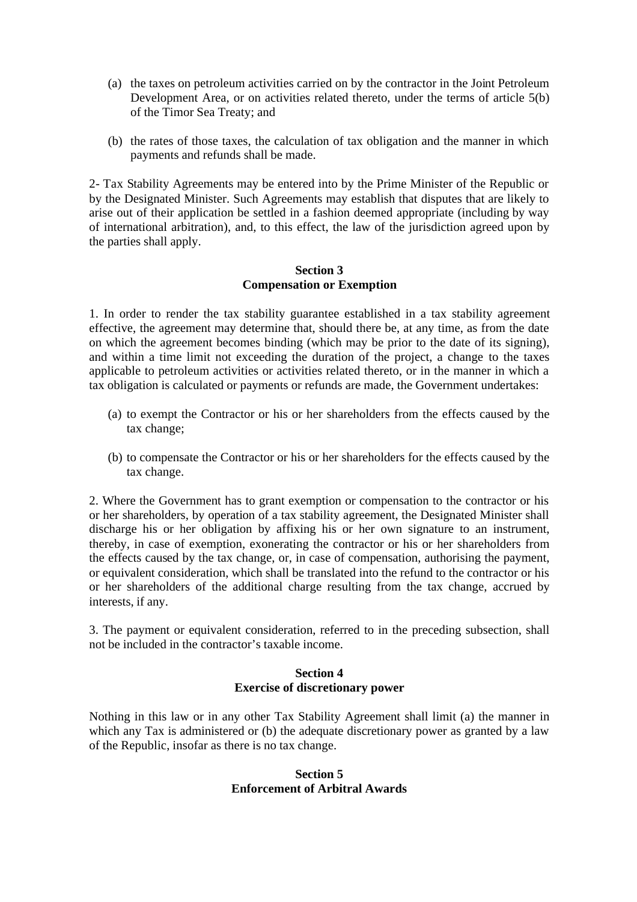- (a) the taxes on petroleum activities carried on by the contractor in the Joint Petroleum Development Area, or on activities related thereto, under the terms of article 5(b) of the Timor Sea Treaty; and
- (b) the rates of those taxes, the calculation of tax obligation and the manner in which payments and refunds shall be made.

2- Tax Stability Agreements may be entered into by the Prime Minister of the Republic or by the Designated Minister. Such Agreements may establish that disputes that are likely to arise out of their application be settled in a fashion deemed appropriate (including by way of international arbitration), and, to this effect, the law of the jurisdiction agreed upon by the parties shall apply.

## **Section 3 Compensation or Exemption**

1. In order to render the tax stability guarantee established in a tax stability agreement effective, the agreement may determine that, should there be, at any time, as from the date on which the agreement becomes binding (which may be prior to the date of its signing), and within a time limit not exceeding the duration of the project, a change to the taxes applicable to petroleum activities or activities related thereto, or in the manner in which a tax obligation is calculated or payments or refunds are made, the Government undertakes:

- (a) to exempt the Contractor or his or her shareholders from the effects caused by the tax change;
- (b) to compensate the Contractor or his or her shareholders for the effects caused by the tax change.

2. Where the Government has to grant exemption or compensation to the contractor or his or her shareholders, by operation of a tax stability agreement, the Designated Minister shall discharge his or her obligation by affixing his or her own signature to an instrument, thereby, in case of exemption, exonerating the contractor or his or her shareholders from the effects caused by the tax change, or, in case of compensation, authorising the payment, or equivalent consideration, which shall be translated into the refund to the contractor or his or her shareholders of the additional charge resulting from the tax change, accrued by interests, if any.

3. The payment or equivalent consideration, referred to in the preceding subsection, shall not be included in the contractor's taxable income.

# **Section 4 Exercise of discretionary power**

Nothing in this law or in any other Tax Stability Agreement shall limit (a) the manner in which any Tax is administered or (b) the adequate discretionary power as granted by a law of the Republic, insofar as there is no tax change.

# **Section 5 Enforcement of Arbitral Awards**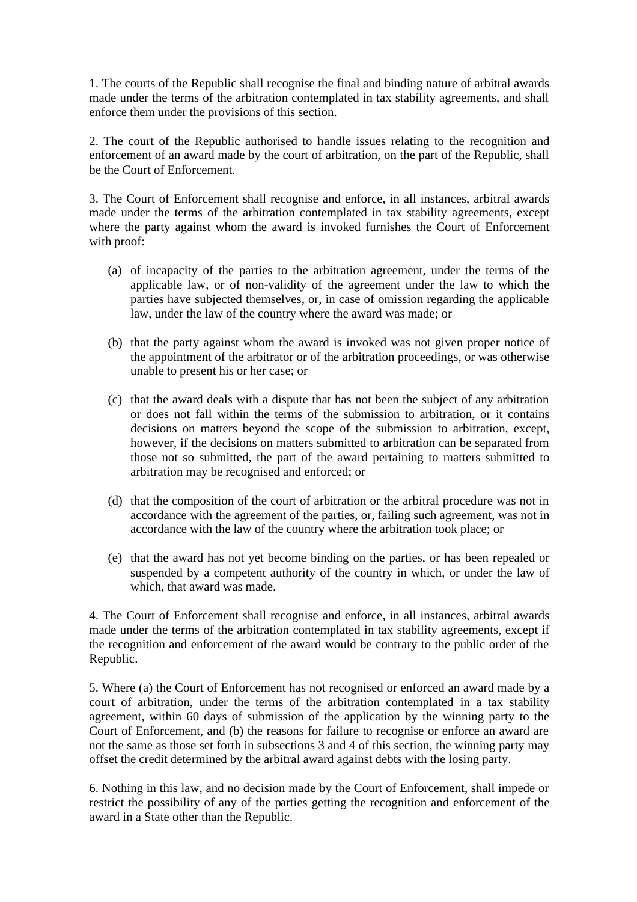1. The courts of the Republic shall recognise the final and binding nature of arbitral awards made under the terms of the arbitration contemplated in tax stability agreements, and shall enforce them under the provisions of this section.

2. The court of the Republic authorised to handle issues relating to the recognition and enforcement of an award made by the court of arbitration, on the part of the Republic, shall be the Court of Enforcement.

3. The Court of Enforcement shall recognise and enforce, in all instances, arbitral awards made under the terms of the arbitration contemplated in tax stability agreements, except where the party against whom the award is invoked furnishes the Court of Enforcement with proof:

- (a) of incapacity of the parties to the arbitration agreement, under the terms of the applicable law, or of non-validity of the agreement under the law to which the parties have subjected themselves, or, in case of omission regarding the applicable law, under the law of the country where the award was made; or
- (b) that the party against whom the award is invoked was not given proper notice of the appointment of the arbitrator or of the arbitration proceedings, or was otherwise unable to present his or her case; or
- (c) that the award deals with a dispute that has not been the subject of any arbitration or does not fall within the terms of the submission to arbitration, or it contains decisions on matters beyond the scope of the submission to arbitration, except, however, if the decisions on matters submitted to arbitration can be separated from those not so submitted, the part of the award pertaining to matters submitted to arbitration may be recognised and enforced; or
- (d) that the composition of the court of arbitration or the arbitral procedure was not in accordance with the agreement of the parties, or, failing such agreement, was not in accordance with the law of the country where the arbitration took place; or
- (e) that the award has not yet become binding on the parties, or has been repealed or suspended by a competent authority of the country in which, or under the law of which, that award was made.

4. The Court of Enforcement shall recognise and enforce, in all instances, arbitral awards made under the terms of the arbitration contemplated in tax stability agreements, except if the recognition and enforcement of the award would be contrary to the public order of the Republic.

5. Where (a) the Court of Enforcement has not recognised or enforced an award made by a court of arbitration, under the terms of the arbitration contemplated in a tax stability agreement, within 60 days of submission of the application by the winning party to the Court of Enforcement, and (b) the reasons for failure to recognise or enforce an award are not the same as those set forth in subsections 3 and 4 of this section, the winning party may offset the credit determined by the arbitral award against debts with the losing party.

6. Nothing in this law, and no decision made by the Court of Enforcement, shall impede or restrict the possibility of any of the parties getting the recognition and enforcement of the award in a State other than the Republic.